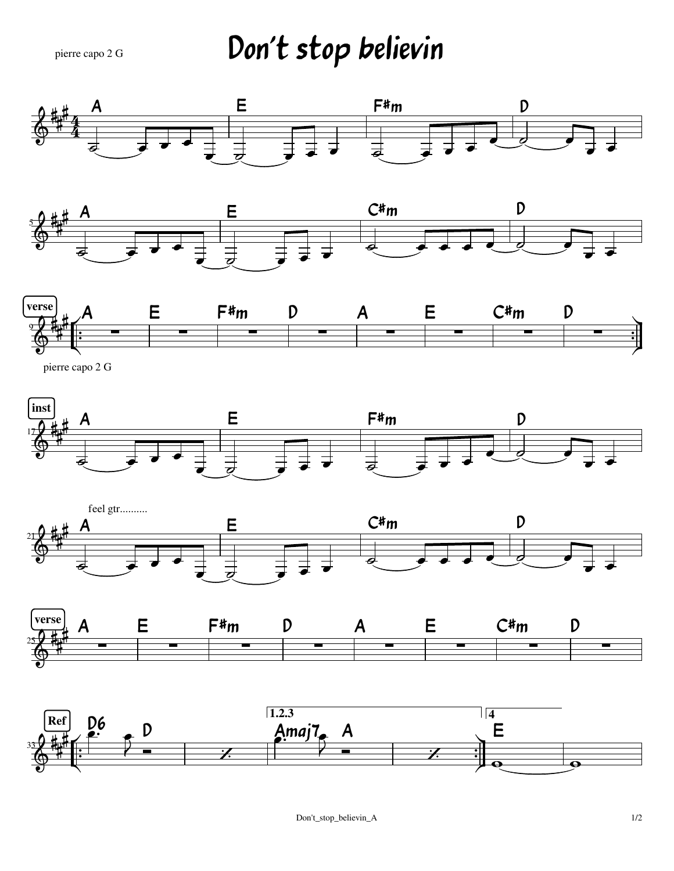## Don't stop believin pierre capo 2 G